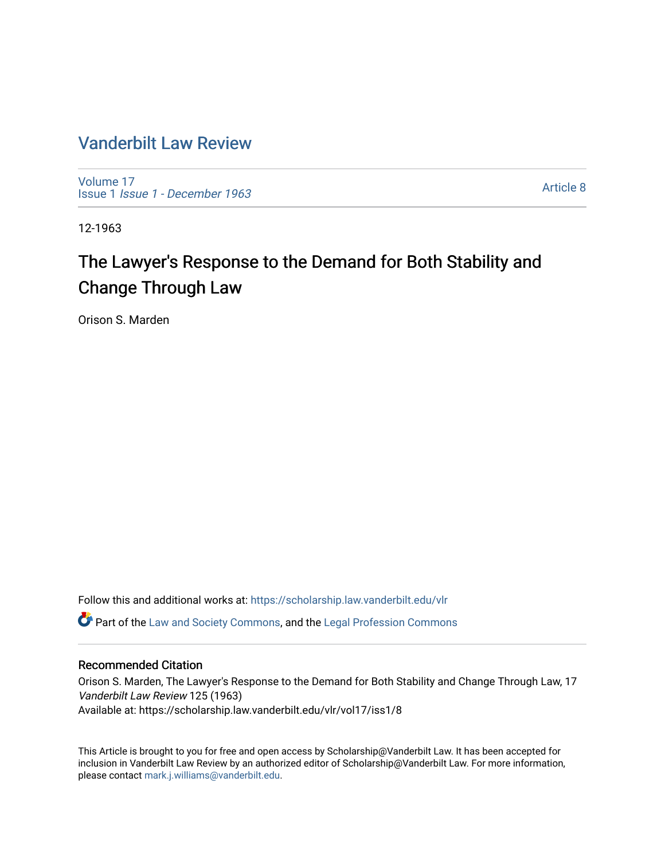## [Vanderbilt Law Review](https://scholarship.law.vanderbilt.edu/vlr)

[Volume 17](https://scholarship.law.vanderbilt.edu/vlr/vol17) Issue 1 [Issue 1 - December 1963](https://scholarship.law.vanderbilt.edu/vlr/vol17/iss1) 

[Article 8](https://scholarship.law.vanderbilt.edu/vlr/vol17/iss1/8) 

12-1963

# The Lawyer's Response to the Demand for Both Stability and Change Through Law

Orison S. Marden

Follow this and additional works at: [https://scholarship.law.vanderbilt.edu/vlr](https://scholarship.law.vanderbilt.edu/vlr?utm_source=scholarship.law.vanderbilt.edu%2Fvlr%2Fvol17%2Fiss1%2F8&utm_medium=PDF&utm_campaign=PDFCoverPages) **C** Part of the [Law and Society Commons](http://network.bepress.com/hgg/discipline/853?utm_source=scholarship.law.vanderbilt.edu%2Fvlr%2Fvol17%2Fiss1%2F8&utm_medium=PDF&utm_campaign=PDFCoverPages), and the Legal Profession Commons

### Recommended Citation

Orison S. Marden, The Lawyer's Response to the Demand for Both Stability and Change Through Law, 17 Vanderbilt Law Review 125 (1963) Available at: https://scholarship.law.vanderbilt.edu/vlr/vol17/iss1/8

This Article is brought to you for free and open access by Scholarship@Vanderbilt Law. It has been accepted for inclusion in Vanderbilt Law Review by an authorized editor of Scholarship@Vanderbilt Law. For more information, please contact [mark.j.williams@vanderbilt.edu.](mailto:mark.j.williams@vanderbilt.edu)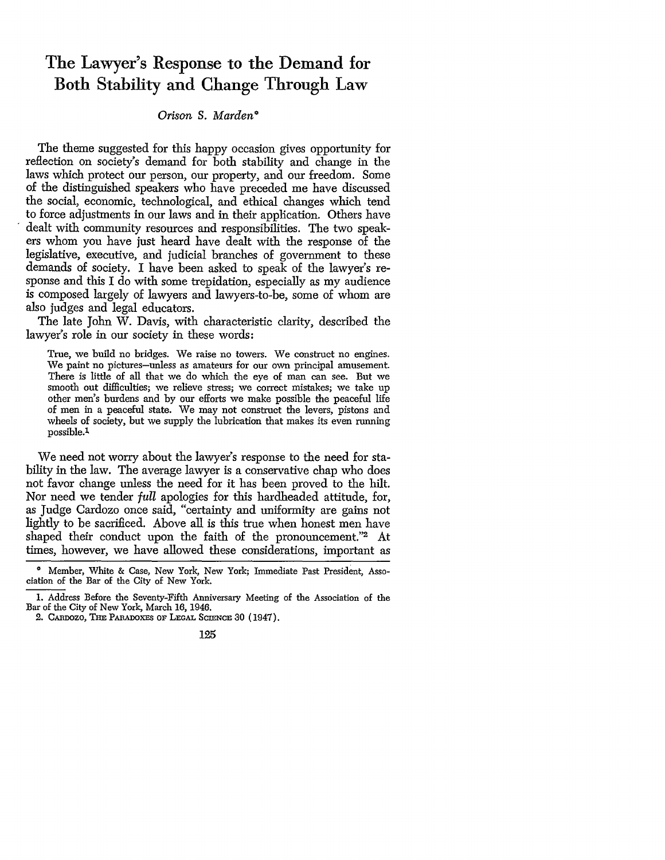# The Lawyer's Response to the Demand for Both Stability and Change Through Law

### *Orison S. Marden\**

The theme suggested for this happy occasion gives opportunity for reflection on society's demand for both stability and change in the laws which protect our person, our property, and our freedom. Some of the distinguished speakers who have preceded me have discussed the social, economic, technological, and ethical changes which tend to force adjustments in our laws and in their application. Others have dealt with community resources and responsibilities. The two speakers whom you have just heard have dealt with the response of the legislative, executive, and judicial branches of government to these demands of society. I have been asked to speak of the lawyer's response and this I do with some trepidation, especially as my audience is composed largely of lawyers and lawyers-to-be, some of whom are also judges and legal educators.

The late John W. Davis, with characteristic clarity, described the lawyer's role in our society in these words:

True, we build no bridges. We raise no towers. We construct no engines. We paint no pictures-unless as amateurs for our own principal amusement. There is little of all that we do which the eye of man can see. But we smooth out difficulties; we relieve stress; we correct mistakes; we take up other men's burdens and by our efforts we make possible the peaceful life of men in a peaceful state. We may not construct the levers, pistons and wheels of society, but we supply the lubrication that makes its even running possible.1

We need not worry about the lawyer's response to the need for stability in the law. The average lawyer is a conservative chap who does not favor change unless the need for it has been proved to the hilt. Nor need we tender *full* apologies for this hardheaded attitude, for, as Judge Cardozo once said, "certainty and uniformity are gains not lightly to be sacrificed. Above all is this true when honest men have shaped their conduct upon the faith of the pronouncement."2 At times, however, we have allowed these considerations, important as

<sup>0</sup> Member, White & Case, New York, New York; Immediate Past President, Association of the Bar of the City of New York.

<sup>1.</sup> Address Before the Seventy-Fifth Anniversary Meeting of the Association of the Bar of the City of New York, March 16, 1946.

<sup>2.</sup> CAnnozo, THE PABmDoXEs OF **LEGAL** SCIENCE 30 (1947).

<sup>125</sup>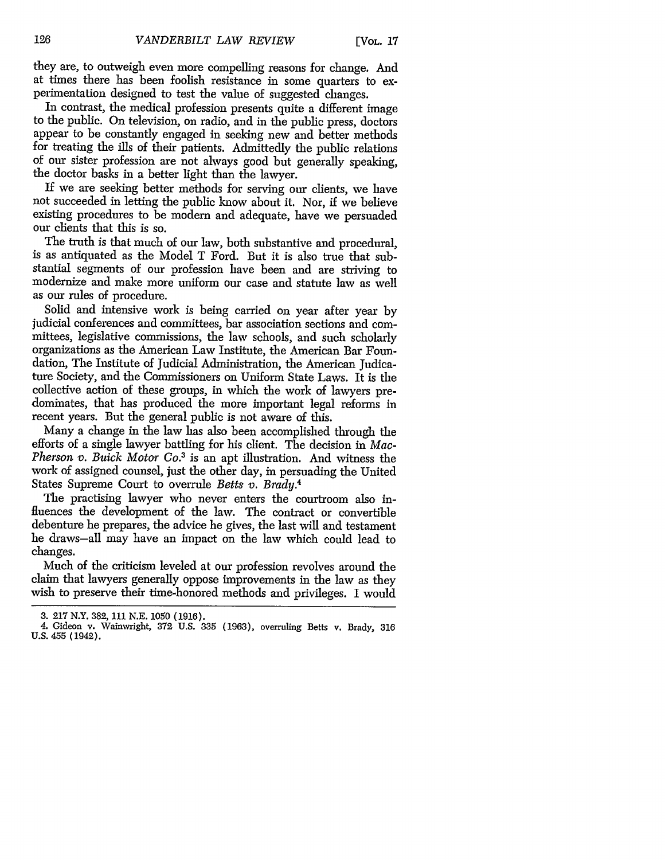they are, to outweigh even more compelling reasons for change. And at times there has been foolish resistance in some quarters to experimentation designed to test the value of suggested changes.

In contrast, the medical profession presents quite a different image to the public. On television, on radio, and in the public press, doctors appear to be constantly engaged in seeking new and better methods for treating the ills of their patients. Admittedly the public relations of our sister profession are not always good but generally speaking, the doctor basks in a better light than the lawyer.

If we are seeking better methods for serving our clients, we have not succeeded in letting the public know about it. Nor, **if** we believe existing procedures to be modem and adequate, have we persuaded our clients that this is so.

The truth is that much of our law, both substantive and procedural, is as antiquated as the Model T Ford. But it is also true that substantial segments of our profession have been and are striving to modernize and make more uniform our case and statute law as well as our rules of procedure.

Solid and intensive work is being carried on year after year by judicial conferences and committees, bar association sections and committees, legislative commissions, the law schools, and such scholarly organizations as the American Law Institute, the American Bar Foundation, The Institute of Judicial Administration, the American Judicature Society, and the Commissioners on Uniform State Laws. It is the collective action of these groups, in which the work of lawyers predominates, that has produced the more important legal reforms in recent years. But the general public is not aware of this.

Many a change in the law has also been accomplished through the efforts of a single lawyer battling for his client. The decision in *Mac-Pherson v. Buick Motor Co.3* is an apt illustration. And witness the work of assigned counsel, just the other day, in persuading the United States Supreme Court to overrule *Betts v. Brady.4*

The practising lawyer who never enters the courtroom also influences the development of the law. The contract or convertible debenture he prepares, the advice he gives, the last will and testament he draws-all may have an impact on the law which could lead to changes.

Much of the criticism leveled at our profession revolves around the claim that lawyers generally oppose improvements in the law as they wish to preserve their time-honored methods and privileges. I would

<sup>3.</sup> **217** N.Y. 382, **111 N.E.** 1050 **(1916).**

<sup>4.</sup> Gideon v. Wainwright, 372 U.S. 335 (1963), overruling Betts v. Brady, **316** U.S. 455 (1942).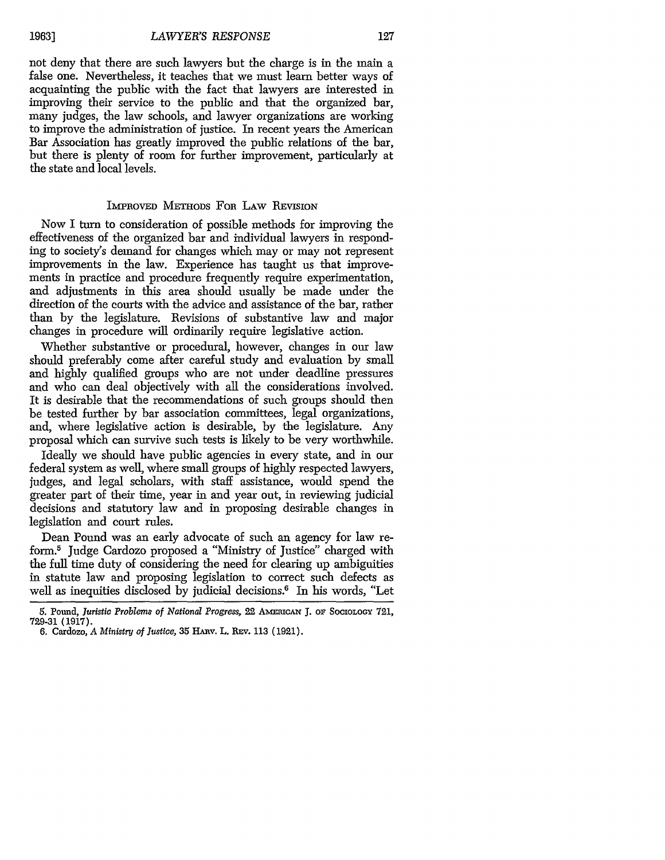**19631**

not deny that there are such lawyers but the charge is in the main a false one. Nevertheless, it teaches that we must learn better ways of acquainting the public with the fact that lawyers are interested in improving their service to the public and that the organized bar, many judges, the law schools, and lawyer organizations are working to improve the administration of justice. In recent years the American Bar Association has greatly improved the public relations of the bar, but there is plenty of room for further improvement, particularly at the state and local levels.

#### IMPROVED METHODS **FOR** LAw REVISION

Now I turn to consideration of possible methods for improving the effectiveness of the organized bar and individual lawyers in responding to society's demand for changes which may or may not represent improvements in the law. Experience has taught us that improvements in practice and procedure frequently require experimentation, and adjustments in this area should usually be made under the direction of the courts with the advice and assistance of the bar, rather than by the legislature. Revisions of substantive law and major changes in procedure will ordinarily require legislative action.

Whether substantive or procedural, however, changes in our law should preferably come after careful study and evaluation by small and highly qualified groups who are not under deadline pressures and who can deal objectively with all the considerations involved. It is desirable that the recommendations of such groups should then be tested further by bar association committees, legal organizations, and, where legislative action is desirable, by the legislature. Any proposal which can survive such tests is likely to be very worthwhile.

Ideally we should have public agencies in every state, and in our federal system as well, where small groups of highly respected lawyers, judges, and legal scholars, with staff assistance, would spend the greater part of their time, year in and year out, in reviewing judicial decisions and statutory law and in proposing desirable changes in legislation and court rules.

Dean Pound was an early advocate of such an agency for law reform.5 Judge Cardozo proposed a "Ministry of Justice" charged with the full time duty of considering the need for clearing up ambiguities in statute law and proposing legislation to correct such defects as well as inequities disclosed by judicial decisions.<sup>6</sup> In his words, "Let

<sup>5.</sup> Pound, *Juristic Problems of National Progress,* 22 **AMERIcAN** J. oF SocioLocy **721, 729-31 (1917).**

<sup>6.</sup> Cardozo, *A Ministry of Justice,* **35 HARv.** L. **REv. 113 (1921).**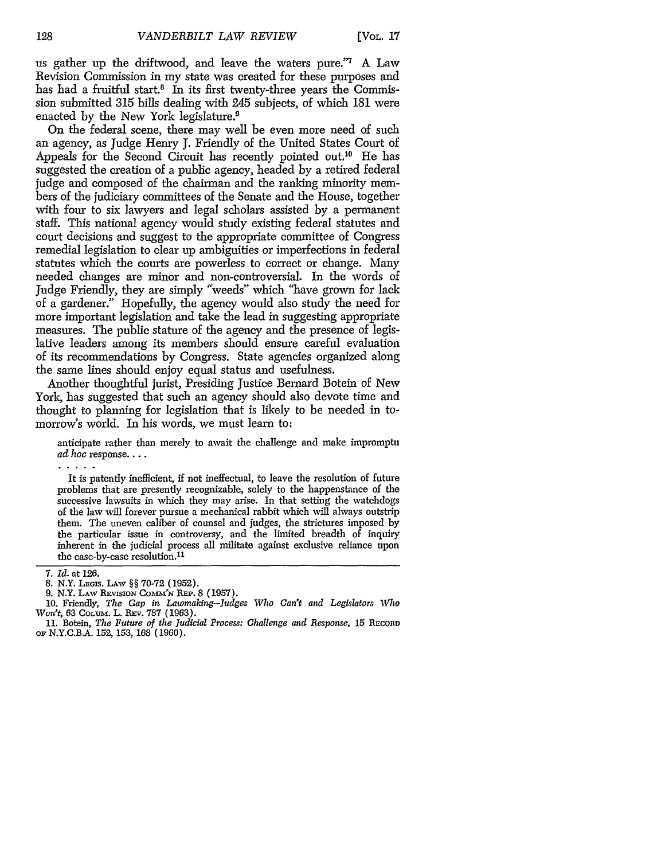us gather up the driftwood, and leave the waters pure."7 A Law Revision Commission in my state was created for these purposes and has had a fruitful start.<sup>8</sup> In its first twenty-three years the Commission submitted 315 bills dealing with 245 subjects, of which 181 were enacted by the New York legislature.<sup>9</sup>

On the federal scene, there may well be even more need of such an agency, as Judge Henry J. Friendly of the United States Court of Appeals for the Second Circuit has recently pointed out.10 He has suggested the creation of a public agency, headed by a retired federal judge and composed of the chairman and the ranking minority members of the judiciary committees of the Senate and the House, together with four to six lawyers and legal scholars assisted by a permanent staff. This national agency would study existing federal statutes and court decisions and suggest to the appropriate committee of Congress remedial legislation to clear up ambiguities or imperfections in federal statutes which the courts are powerless to correct or change. Many needed changes are minor and non-controversial. In the words of Judge Friendly, they are simply "weeds" which "have grown for lack of a gardener." Hopefully, the agency would also study the need for more important legislation and take the lead in suggesting appropriate measures. The public stature of the agency and the presence of legislative leaders among its members should ensure careful evaluation of its recommendations by Congress. State agencies organized along the same lines should enjoy equal status and usefulness.

Another thoughtful jurist, Presiding Justice Bernard Botein of New York, has suggested that such an agency should also devote time and thought to planning for legislation that is likely to be needed in tomorrow's world. In his words, we must learn to:

anticipate rather than merely to await the challenge and make impromptu *ad hoc* response....

It is patently inefficient, if not ineffectual, to leave the resolution of future problems that are presently recognizable, solely to the happenstance of the successive lawsuits in which they may arise. In that setting the watchdogs of the law will forever pursue a mechanical rabbit which will always outstrip them. The uneven caliber of counsel and judges, the strictures imposed by the particular issue in controversy, and the limited breadth of inquiry inherent in the judicial process all militate against exclusive reliance upon the case-by-case resolution.11

<sup>7.</sup> *Id.* at 126.

<sup>8.</sup> N.Y. LEGIs. LAw §§ 70-72 (1952).

<sup>9.</sup> N.Y. Law Revision Comm'n Rep. 8 (1957).

<sup>10.</sup> Friendly, *The* Gap *in Lawmaking-Judges Who Can't and Legislators Who Won't,* 63 COLum. L. REv. 787 (1963).

<sup>11.</sup> Botein, *The Future of the Judicial Process: Challenge and Response*, 15 Record OF N.Y.C.B.A. 152, 153, 168 (1960).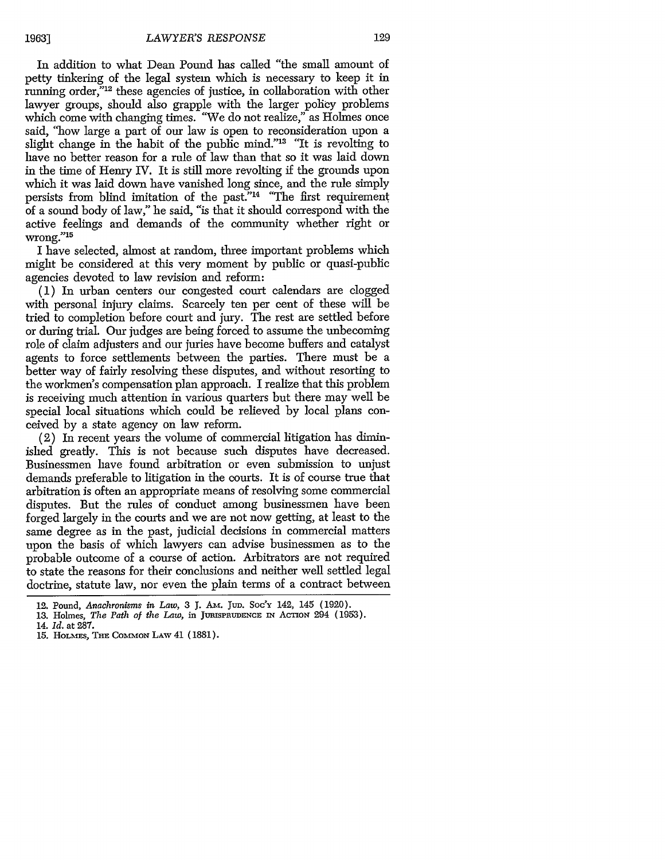In addition to what Dean Pound has called "the small amount of petty tinkering of the legal system which is necessary to keep it in running order,"<sup>12</sup> these agencies of justice, in collaboration with other lawyer groups, should also grapple with the larger policy problems which come with changing times. "We do not realize," as Holmes once said, "how large a part of our law is open to reconsideration upon a slight change in the habit of the public mind."13 "It is revolting to have no better reason for a rule of law than that so it was laid down in the time of Henry IV. It is still more revolting if the grounds upon which it was laid down have vanished long since, and the rule simply persists from blind imitation of the past."14 "The first requirement of a sound body of law," he said, "is that it should correspond with the active feelings and demands of the community whether right or wrong."' 5

I have selected, almost at random, three important problems which might be considered at this very moment by public or quasi-public agencies devoted to law revision and reform:

**(1)** In urban centers our congested court calendars are clogged with personal injury claims. Scarcely ten per cent of these will be tried to completion before court and jury. The rest are settled before or during trial. Our judges are being forced to assume the unbecoming role of claim adjusters and our juries have become buffers and catalyst agents to force settlements between the parties. There must be a better way of fairly resolving these disputes, and without resorting to the workmen's compensation plan approach. I realize that this problem is receiving much attention in various quarters but there may well be special local situations which could be relieved by local plans conceived by a state agency on law reform.

(2) In recent years the volume of commercial litigation has diminished greatly. This is not because such disputes have decreased. Businessmen have found arbitration or even submission to unjust demands preferable to litigation in the courts. It is of course true that arbitration is often an appropriate means of resolving some commercial disputes. But the rules of conduct among businessmen have been forged largely in the courts and we are not now getting, at least to the same degree as in the past, judicial decisions in commercial matters upon the basis of which lawyers can advise businessmen as to the probable outcome of a course of action. Arbitrators are not required to state the reasons for their conclusions and neither well settled legal doctrine, statute law, nor even the plain terms of a contract between

<sup>12.</sup> Pound, *Anachronisms in Law,* **3 J. Am.** Jun. Soc'y 142, 145 **(1920).**

<sup>13.</sup> Holmes, *The Path of the Law*, in JURISPRUDENCE IN ACTION 294 (1953).

<sup>14.</sup> *Id.* at **287.**

<sup>15.</sup> HOLMES, THE COMMON LAW 41 (1881).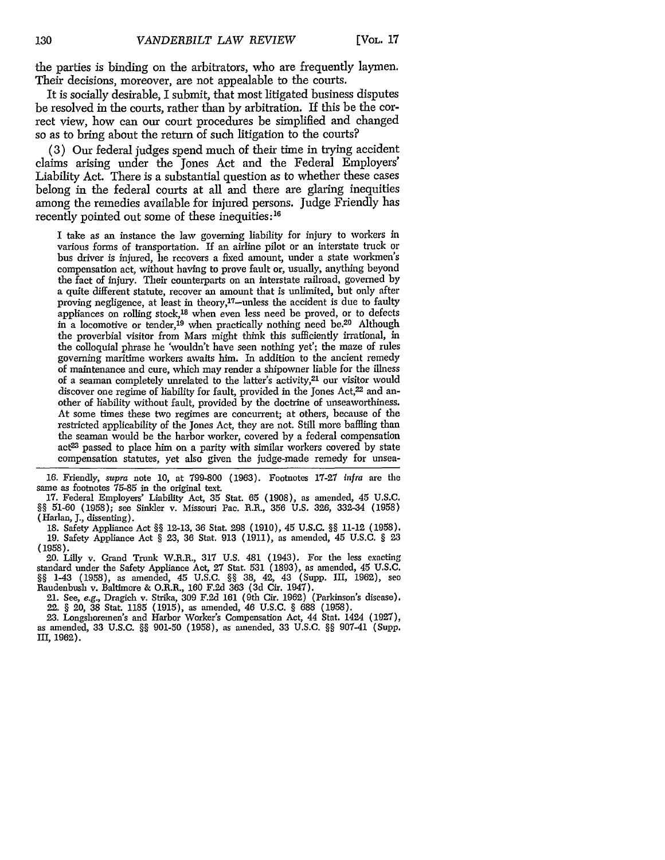the parties is binding on the arbitrators, who are frequently laymen. Their decisions, moreover, are not appealable to the courts.

It is socially desirable, I submit, that most litigated business disputes be resolved in the courts, rather than by arbitration. If this be the correct view, how can our court procedures be simplified and changed so as to bring about the return of such litigation to the courts?

(3) Our federal judges spend much of their time in trying accident claims arising under the Jones Act and the Federal Employers' Liability Act. There is a substantial question as to whether these cases belong in the federal courts at all and there are glaring inequities among the remedies available for injured persons. Judge Friendly has recently pointed out some of these inequities:<sup>16</sup>

I take as an instance the law governing liability for injury to workers in various forms of transportation. If an airline pilot or an interstate truck or bus driver is injured, he recovers a fixed amount, under a state workmen's compensation act, without having to prove fault or, usually, anything beyond the fact of injury. Their counterparts on an interstate railroad, governed by a quite different statute, recover an amount that is unlimited, but only after proving negligence, at least in theory,<sup>17</sup>-unless the accident is due to faulty appliances on rolling stock,<sup>18</sup> when even less need be proved, or to defects in a locomotive or tender,<sup>19</sup> when practically nothing need be.<sup>20</sup> Although the proverbial visitor from Mars might think this sufficiently irrational, in the colloquial phrase he 'wouldn't have seen nothing yet'; the maze of rules governing maritime workers awaits him. In addition to the ancient remedy of maintenance and cure, which may render a shipowner liable for the illness of a seaman completely unrelated to the latter's activity,<sup>21</sup> our visitor would discover one regime of hability for fault, provided in the Jones Act,<sup>22</sup> and another of liability without fault, provided by the doctrine of unseaworthiness. At some times these two regimes are concurrent; at others, because of the restricted applicability of the Jones Act, they are not. Still more baffling than the seaman would be the harbor worker, covered by a federal compensation act<sup>23</sup> passed to place him on a parity with similar workers covered by state compensation statutes, yet also given the judge-made remedy for unsea-

**16.** Friendly, supra note 10, at 799-800 (1963). Footnotes 17-21 infra are the same as footnotes 75-85 in the original text.

**17.** Federal Employers' Liability Act, 35 Stat. 65 (1908), as amended, 45 U.S.C. §§ 51-60 (1958); see Sinkler v. Missouri Pac. R.R., 356 U.S. 326, 332-34 (1958) (Harlan, **J.,** dissenting).

18. Safety Appliance Act §§ 12-13, **36** Stat. 298 (1910), 45 U.S.C. §§ 11-12 (1958). 19. Safety Appliance Act § 23, 36 Stat. 913 (1911), as amended, 45 U.S.C. § 23 (1958).<br>20. Lilly v. Grand Trunk W.R.R., 317 U.S. 481 (1943). For the less exacting

20. Lilly v. Grand Trunk W.R.R., 317 U.S. 481 (1943). For the less exacting standard under the Safety Appliance Act, 27 Stat. 531 (1893), as amended, 45 U.S.C. §§ 1-43 (1958), as amended, 45 U.S.C. §§ 38, 42, 43 (Supp. III, 1962), **seo** Raudenbush v. Baltimore & O.R.R., 160 F.2d 363 (3d Cir. 1947).

21. See, e.g., Dragich v. Strika, 309 F.2d 161 (9th Cir. 1962) (Parkinson's disease). 22. § 20, 38 Stat. 1185 (1915), as amended, 46 U.S.C. § 688 (1958).

23. Longshoremen's and Harbor Worker's Compensation Act, 44 Stat. 1424 (1927), as amended, 33 U.S.C. §§ 901-50 (1958), as amended, 33 U.S.C. §§ 907-41 (Supp. III, 1962).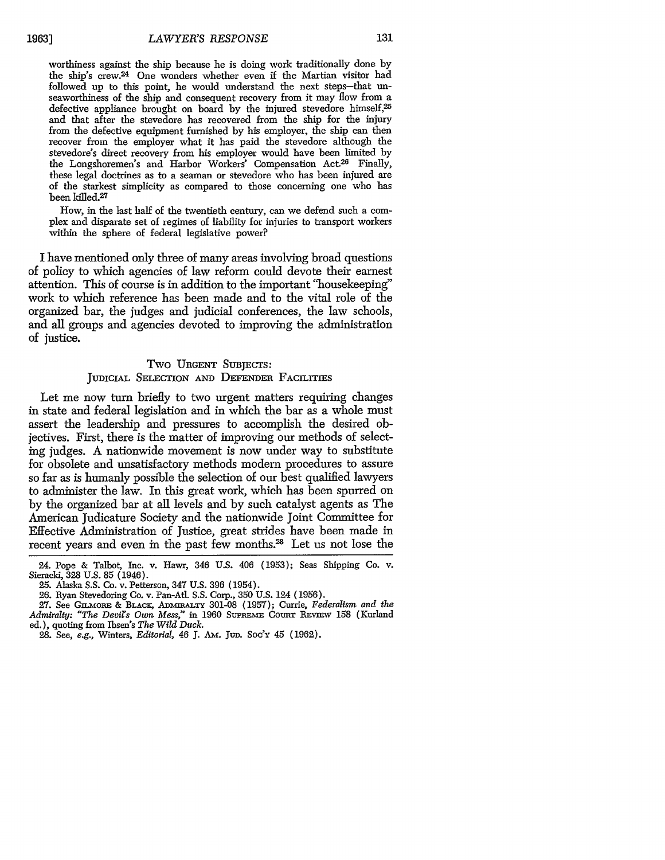worthiness against the ship because he is doing work traditionally done by the ship's crew.24 One wonders whether even if the Martian visitor had followed up to this point, he would understand the next steps-that unseaworthiness of the ship and consequent recovery from it may flow from a defective appliance brought on board by the injured stevedore himself,<sup>25</sup> and that after the stevedore has recovered from the ship for the injury from the defective equipment furnished by his employer, the ship can then recover from the employer what it has paid the stevedore although the stevedore's direct recovery from his employer would have been limited by the Longshoremen's and Harbor Workers' Compensation Act.26 Finally, these legal doctrines as to a seaman or stevedore who has been injured are of the starkest simplicity as compared to those concerning one who has been killed.<sup>27</sup>

How, in the last half of the twentieth century, can we defend such a complex and disparate set of regimes of liability for injuries to transport workers within the sphere of federal legislative power?

I have mentioned only three of many areas involving broad questions of policy to which agencies of law reform could devote their earnest attention. This of course is in addition to the important "housekeeping" work to which reference has been made and to the vital role of the organized bar, the judges and judicial conferences, the law schools, and all groups and agencies devoted to improving the administration of justice.

#### Two **URGENT** SuBjEcrs:

#### JUDICIAL SELECTION AND DEFENDER FACILITIES

Let me now turn briefly to two urgent matters requiring changes in state and federal legislation and in which the bar as a whole must assert the leadership and pressures to accomplish the desired objectives. First, there is the matter of improving our methods of selecting judges. A nationwide movement is now under way to substitute for obsolete and unsatisfactory methods modem procedures to assure so far as is humanly possible the selection of our best qualified lawyers to administer the law. In this great work, which has been spurred on by the organized bar at all levels and by such catalyst agents as The American Judicature Society and the nationwide Joint Committee for Effective Administration of Justice, great strides have been made in recent years and even in the past few months.<sup>28</sup> Let us not lose the

<sup>24.</sup> Pope & Talbot, Inc. v. Hawr, 346 U.S. 406 (1953); Seas Shipping Co. v. Sieracki, 328 U.S. 85 (1946).

<sup>25.</sup> Alaska S.S. Co. v. Petterson, 347 U.S. 396 (1954).

<sup>26.</sup> Ryan Stevedoring Co. v. Pan-Atl. S.S. Corp., 350 U.S. 124 (1956).

<sup>27.</sup> See GimvORE & BLACK, ADmmALTr 301-08 (1957); Currie, *Federalism and the* Admiralty: "The Devil's Own Mess," in 1960 SUPREME COURT REVIEW 158 (Kurland ed.), quoting from Tbsen's *The Wild Duck.*

<sup>28.</sup> See, e.g., Winters, *Editorial, 46* **J.** AM. **Jun.** *Soc'y* 45 (1962).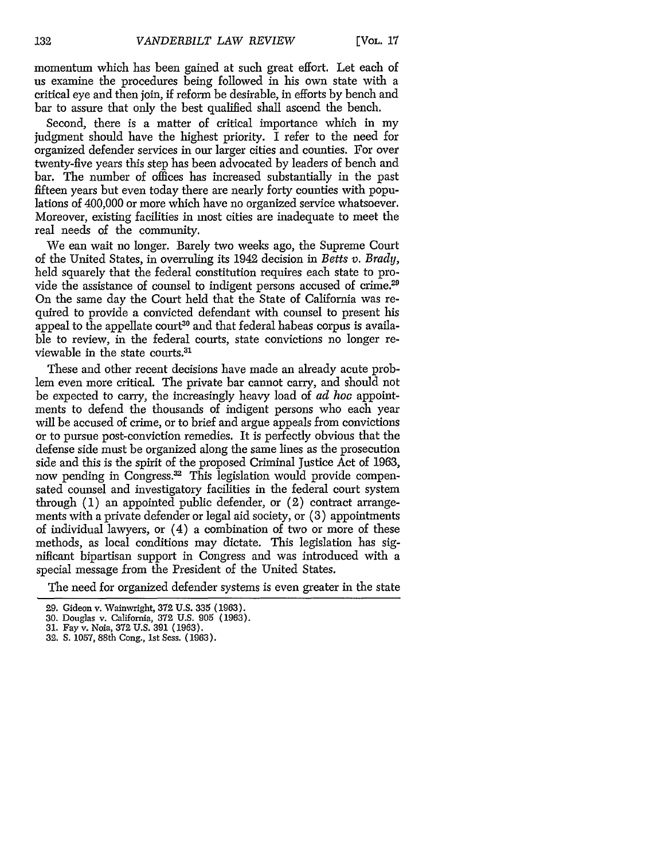momentum which has been gained at such great effort. Let each of us examine the procedures being followed in his own state with a critical eye and then join, if reform be desirable, in efforts by bench and bar to assure that only the best qualified shall ascend the bench.

Second, there is a matter of critical importance which in my judgment should have the highest priority. I refer to the need for organized defender services in our larger cities and counties. For over twenty-five years this step has been advocated by leaders of bench and bar. The number of offices has increased substantially in the past fifteen years but even today there are nearly forty counties with populations of 400,000 or more which have no organized service whatsoever. Moreover, existing facilities in most cities are inadequate to meet the real needs of the community.

We can wait no longer. Barely two weeks ago, the Supreme Court of the United States, in overruling its 1942 decision in *Betts v. Brady,* held squarely that the federal constitution requires each state to provide the assistance of counsel to indigent persons accused of crime.<sup>29</sup> On the same day the Court held that the State of California was required to provide a convicted defendant with counsel to present his appeal to the appellate court<sup>30</sup> and that federal habeas corpus is available to review, in the federal courts, state convictions no longer reviewable in the state courts.3'

These and other recent decisions have made an already acute problem even more critical. The private bar cannot carry, and should not be expected to carry, the increasingly heavy load of *ad hoc* appointments to defend the thousands of indigent persons who each year will be accused of crime, or to brief and argue appeals from convictions or to pursue post-conviction remedies. It is perfectly obvious that the defense side must be organized along the same lines as the prosecution side and this is the spirit of the proposed Criminal Justice Act of 1963, now pending in Congress.<sup>32</sup> This legislation would provide compensated counsel and investigatory facilities in the federal court system through (1) an appointed public defender, or (2) contract arrangements with a private defender or legal aid society, or (3) appointments of individual lawyers, or (4) a combination of two or more of these methods, as local conditions may dictate. This legislation has significant bipartisan support in Congress and was introduced with a special message from the President of the United States.

The need for organized defender systems is even greater in the state

<sup>29.</sup> Gideon v. Wainwright, 372 U.S. 335 (1963).

<sup>30.</sup> Douglas v. California, 372 U.S. 905 (1963).

<sup>31.</sup> Fay v. Noia, 372 U.S. **391** (1963).

<sup>32.</sup> S. 1057, 88th Cong., 1st Sess. (1963).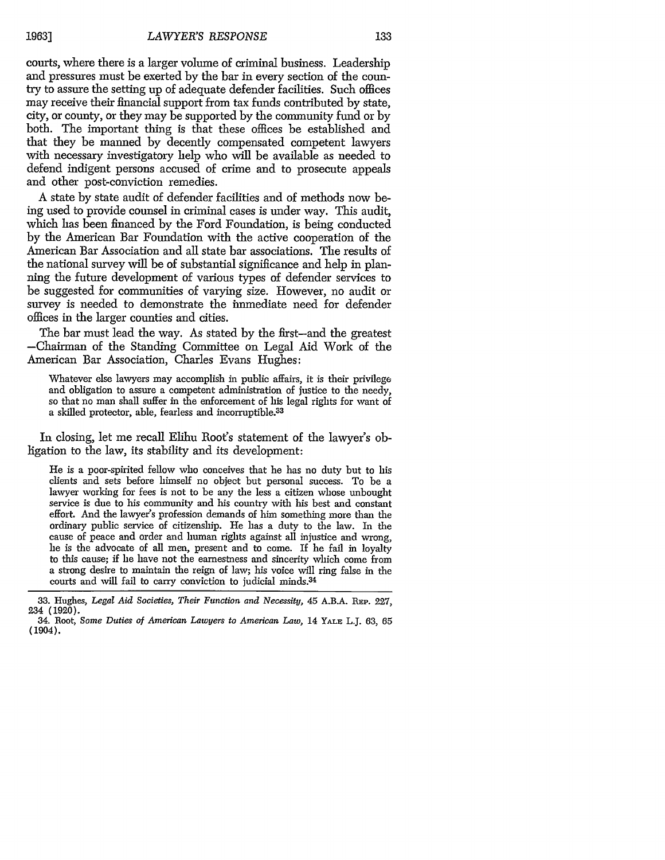courts, where there is a larger volume of criminal business. Leadership and pressures must be exerted by the bar in every section of the country to assure the setting up of adequate defender facilities. Such offices may receive their financial support from tax funds contributed by state, city, or county, or they may be supported by the community fund or by both. The important thing is that these offices be established and that they be manned by decently compensated competent lawyers with necessary investigatory help who will be available as needed to defend indigent persons accused of crime and to prosecute appeals and other post-conviction remedies.

A state by state audit of defender facilities and of methods now being used to provide counsel in criminal cases is under way. This audit, which has been financed by the Ford Foundation, is being conducted by the American Bar Foundation with the active cooperation of the American Bar Association and all state bar associations. The results of the national survey will be of substantial significance and help in planning the future development of various types of defender services to be suggested for communities of varying size. However, no audit or survey is needed to demonstrate the immediate need for defender offices in the larger counties and cities.

The bar must lead the way. As stated by the first-and the greatest -Chairman of the Standing Committee on Legal Aid Work of the American Bar Association, Charles Evans Hughes:

Whatever else lawyers may accomplish in public affairs, it is their privilege and obligation to assure a competent administration of justice to the needy, so that no man shall suffer in the enforcement of his legal rights for want of a skilled protector, able, fearless and incorruptible.<sup>33</sup>

In closing, let me recall Elihu Root's statement of the lawyer's obligation to the law, its stability and its development:

He is a poor-spirited fellow who conceives that he has no duty but to his clients and sets before himself no object but personal success. To be a lawyer working for fees is not to be any the less a citizen whose unbought service is due to his community and his country with his best and constant effort. And the lawyer's profession demands of him something more than the ordinary public service of citizenship. He has a duty to the law. In the cause of peace and order and human rights against all injustice and wrong, he is the advocate of all men, present and to come. If he fail in loyalty to this cause; if he have not the earnestness and sincerity which come from a strong desire to maintain the reign of law; his voice will ring false in the courts and will fail to carry conviction to judicial minds.<sup>34</sup>

<sup>33.</sup> Hughes, *Legal Aid Societies, Their Function and Necessity,* 45 A.B.A. REP. 227, 234 (1920).

<sup>34.</sup> Root, *Some Duties of American Lawyers to American Law,* 14 YALE L.J. 63, 65 (1904).